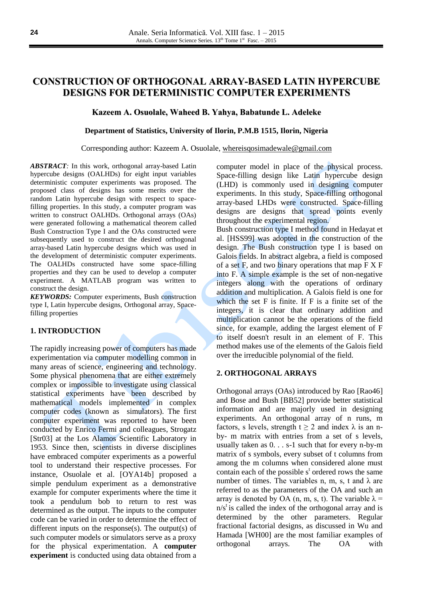# **CONSTRUCTION OF ORTHOGONAL ARRAY-BASED LATIN HYPERCUBE DESIGNS FOR DETERMINISTIC COMPUTER EXPERIMENTS**

# **Kazeem A. Osuolale, Waheed B. Yahya, Babatunde L. Adeleke**

## **Department of Statistics, University of Ilorin, P.M.B 1515, Ilorin, Nigeria**

#### Corresponding author: Kazeem A. Osuolale, [whereisqosimadewale@gmail.com](mailto:whereisqosimadewale@gmail.com)

*ABSTRACT:* In this work, orthogonal array-based Latin hypercube designs (OALHDs) for eight input variables deterministic computer experiments was proposed. The proposed class of designs has some merits over the random Latin hypercube design with respect to spacefilling properties. In this study, a computer program was written to construct OALHDs. Orthogonal arrays (OAs) were generated following a mathematical theorem called Bush Construction Type I and the OAs constructed were subsequently used to construct the desired orthogonal array-based Latin hypercube designs which was used in the development of deterministic computer experiments. The OALHDs constructed have some space-filling properties and they can be used to develop a computer experiment. A MATLAB program was written to construct the design.

*KEYWORDS:* Computer experiments, Bush construction type I, Latin hypercube designs, Orthogonal array, Spacefilling properties

#### **1. INTRODUCTION**

The rapidly increasing power of computers has made experimentation via computer modelling common in many areas of science, engineering and technology. Some physical phenomena that are either extremely complex or impossible to investigate using classical statistical experiments have been described by mathematical models implemented in complex computer codes (known as simulators). The first computer experiment was reported to have been conducted by Enrico Fermi and colleagues, Strogatz [Str03] at the Los Alamos Scientific Laboratory in 1953. Since then, scientists in diverse disciplines have embraced computer experiments as a powerful tool to understand their respective processes. For instance, Osuolale et al. [OYA14b] proposed a simple pendulum experiment as a demonstrative example for computer experiments where the time it took a pendulum bob to return to rest was determined as the output. The inputs to the computer code can be varied in order to determine the effect of different inputs on the response(s). The output(s) of such computer models or simulators serve as a proxy for the physical experimentation. A **computer experiment** is conducted using data obtained from a computer model in place of the physical process. Space-filling design like Latin hypercube design (LHD) is commonly used in designing computer experiments. In this study, Space-filling orthogonal array-based LHDs were constructed. Space-filling designs are designs that spread points evenly throughout the experimental region.

Bush construction type I method found in Hedayat et al. [HSS99] was adopted in the construction of the design. The Bush construction type I is based on Galois fields. In abstract algebra, a field is composed of a set  $F$ , and two binary operations that map  $F X F$ into F. A simple example is the set of non-negative integers along with the operations of ordinary addition and multiplication. A Galois field is one for which the set F is finite. If F is a finite set of the integers, it is clear that ordinary addition and multiplication cannot be the operations of the field since, for example, adding the largest element of F to itself doesn't result in an element of F. This method makes use of the elements of the Galois field over the irreducible polynomial of the field.

## **2. ORTHOGONAL ARRAYS**

Orthogonal arrays (OAs) introduced by Rao [Rao46] and Bose and Bush [BB52] provide better statistical information and are majorly used in designing experiments. An orthogonal array of n runs, m factors, s levels, strength  $t \ge 2$  and index  $\lambda$  is an nby- m matrix with entries from a set of s levels, usually taken as 0. . . s-1 such that for every n-by-m matrix of s symbols, every subset of t columns from among the m columns when considered alone must contain each of the possible  $s<sup>t</sup>$  ordered rows the same number of times. The variables n, m, s, t and  $\lambda$  are referred to as the parameters of the OA and such an array is denoted by OA (n, m, s, t). The variable  $\lambda =$  $n/s<sup>t</sup>$  is called the index of the orthogonal array and is determined by the other parameters. Regular fractional factorial designs, as discussed in Wu and Hamada [WH00] are the most familiar examples of orthogonal arrays. The OA with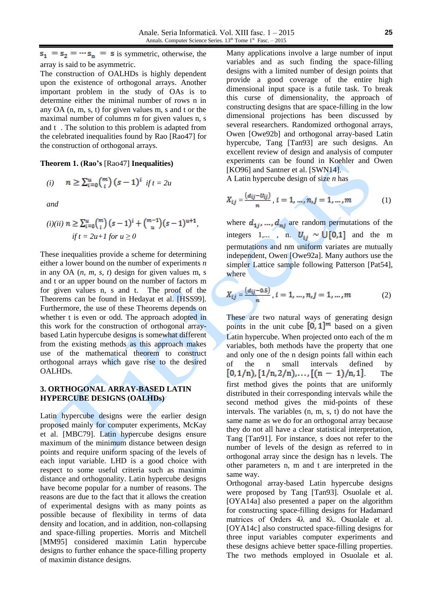$s_1 = s_2 = \cdots s_n = s$  is symmetric, otherwise, the array is said to be asymmetric.

The construction of OALHDs is highly dependent upon the existence of orthogonal arrays. Another important problem in the study of OAs is to determine either the minimal number of rows n in any OA (n, m, s, t) for given values m, s and t or the maximal number of columns m for given values n, s and t . The solution to this problem is adapted from the celebrated inequalities found by Rao [Rao47] for the construction of orthogonal arrays.

**Theorem 1. (Rao's** [Rao47] **Inequalities)**

(i) 
$$
n \ge \sum_{i=0}^{u} {m \choose i} (s-1)^i
$$
 if  $t = 2u$ 

*and*

$$
(i)(ii) \ n \ge \sum_{i=0}^{u} {m \choose i} (s-1)^{i} + {m-1 \choose u} (s-1)^{u+1},
$$
  
if  $t = 2u+1$  for  $u \ge 0$ 

These inequalities provide a scheme for determining either a lower bound on the number of experiments *n* in any OA (*n, m, s, t*) design for given values m, s and t or an upper bound on the number of factors m for given values n, s and t. The proof of the Theorems can be found in Hedayat et al. [HSS99]. Furthermore, the use of these Theorems depends on whether t is even or odd. The approach adopted in this work for the construction of orthogonal arraybased Latin hypercube designs is somewhat different from the existing methods as this approach makes use of the mathematical theorem to construct orthogonal arrays which gave rise to the desired OALHDs.

# **3. ORTHOGONAL ARRAY-BASED LATIN HYPERCUBE DESIGNS (OALHDs)**

Latin hypercube designs were the earlier design proposed mainly for computer experiments, McKay et al. [MBC79]. Latin hypercube designs ensure maximum of the minimum distance between design points and require uniform spacing of the levels of each input variable. LHD is a good choice with respect to some useful criteria such as maximin distance and orthogonality. Latin hypercube designs have become popular for a number of reasons. The reasons are due to the fact that it allows the creation of experimental designs with as many points as possible because of flexibility in terms of data density and location, and in addition, non-collapsing and space-filling properties. Morris and Mitchell [MM95] considered maximin Latin hypercube designs to further enhance the space-filling property of maximin distance designs.

Many applications involve a large number of input variables and as such finding the space-filling designs with a limited number of design points that provide a good coverage of the entire high dimensional input space is a futile task. To break this curse of dimensionality, the approach of constructing designs that are space-filling in the low dimensional projections has been discussed by several researchers. Randomized orthogonal arrays, Owen [Owe92b] and orthogonal array-based Latin hypercube, Tang [Tan93] are such designs. An excellent review of design and analysis of computer experiments can be found in Koehler and Owen [KO96] and Santner et al. [SWN14].

A Latin hypercube design of size *n* has

$$
X_{ij} = \frac{(d_{ij} - v_{ij})}{n}, i = 1, ..., n, j = 1, ..., m
$$
 (1)

where  $d_{1i}$ , ...,  $d_{ni}$  are random permutations of the integers 1,..., n.  $U_{ij} \sim \bigcup [0,1]$  and the m permutations and nm uniform variates are mutually independent, Owen [Owe92a]. Many authors use the simpler Lattice sample following Patterson [Pat54], where

$$
X_{ij} = \frac{(d_{ij} - 0.5)}{n}, i = 1, ..., n, j = 1, ..., m
$$
 (2)

These are two natural ways of generating design points in the unit cube  $[0, 1]^m$  based on a given Latin hypercube. When projected onto each of the m variables, both methods have the property that one and only one of the n design points fall within each of the n small intervals defined by  $[0,1/n), [1/n,2/n), \ldots, [(n-1)/n,1].$  The first method gives the points that are uniformly distributed in their corresponding intervals while the second method gives the mid-points of these intervals. The variables (n, m, s, t) do not have the same name as we do for an orthogonal array because they do not all have a clear statistical interpretation, Tang [Tan91]. For instance, s does not refer to the number of levels of the design as referred to in orthogonal array since the design has n levels. The other parameters n, m and t are interpreted in the same way.

Orthogonal array-based Latin hypercube designs were proposed by Tang [Tan93]. Osuolale et al. [OYA14a] also presented a paper on the algorithm for constructing space-filling designs for Hadamard matrices of Orders 4λ and 8λ. Osuolale et al. [OYA14c] also constructed space-filling designs for three input variables computer experiments and these designs achieve better space-filling properties. The two methods employed in Osuolale et al.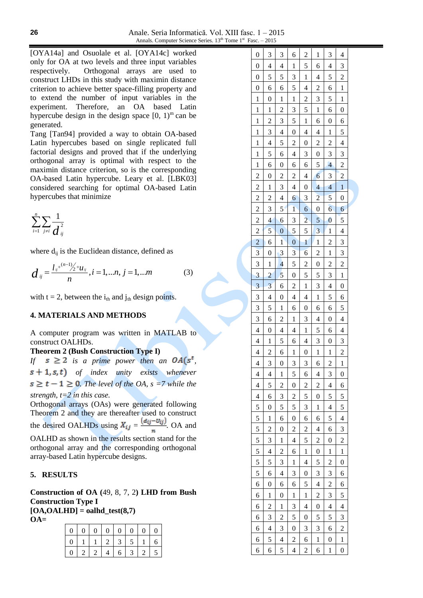[OYA14a] and Osuolale et al. [OYA14c] worked only for OA at two levels and three input variables respectively. Orthogonal arrays are used to construct LHDs in this study with maximin distance criterion to achieve better space-filling property and to extend the number of input variables in the experiment. Therefore, an OA based Latin hypercube design in the design space  $[0, 1)$ <sup>m</sup> can be generated.

Tang [Tan94] provided a way to obtain OA-based Latin hypercubes based on single replicated full factorial designs and proved that if the underlying orthogonal array is optimal with respect to the maximin distance criterion, so is the corresponding OA-based Latin hypercube. Leary et al. [LBK03] considered searching for optimal OA-based Latin hypercubes that minimize

$$
\sum_{i=1}^n \sum_{j\neq i} \frac{1}{d_{ij}^2}
$$

where  $d_{ij}$  is the Euclidean distance, defined as

$$
d_{ij} = \frac{l_{ij}^{+(n-1)}/2 + u_{ij}}{n}, i = 1,...n, j = 1,...m
$$
 (3)

with  $t = 2$ , between the  $i_{th}$  and  $j_{th}$  design points.

# **4. MATERIALS AND METHODS**

A computer program was written in MATLAB to construct OALHDs.

# **Theorem 2 (Bush Construction Type I)**

*If*  $s \geq 2$  *is a prime power then an*  $OA(s^t)$ *, of index unity exists whenever*  $s \geq t - 1 \geq 0$ . The level of the OA,  $s = 7$  while the *strength, t=2 in this case.*

Orthogonal arrays (OAs) were generated following Theorem 2 and they are thereafter used to construct the desired OALHDs using  $X_{ij} = \frac{(d_{ij} - U_{ij})}{n}$ . OA and OALHD as shown in the results section stand for the orthogonal array and the corresponding orthogonal array-based Latin hypercube designs.

#### **5. RESULTS**

**Construction of OA (**49, 8, 7, 2**) LHD from Bush Construction Type I [OA,OALHD] = oalhd\_test(8,7)**

**OA=**

|          | 0   0   0   0   0   0   0   0 |  |                       |                   |  |
|----------|-------------------------------|--|-----------------------|-------------------|--|
| $\Omega$ |                               |  | 1   1   2   3   5   1 |                   |  |
|          | 0   2   2   4                 |  |                       | $6 \mid 3 \mid 2$ |  |

|  | $\boldsymbol{0}$         | 3                        | 3                        | 6                        | $\overline{\mathbf{c}}$  | 1                        | 3                        | $\overline{\mathcal{L}}$ |  |
|--|--------------------------|--------------------------|--------------------------|--------------------------|--------------------------|--------------------------|--------------------------|--------------------------|--|
|  | $\boldsymbol{0}$         | $\overline{4}$           | 4                        | $\mathbf{1}$             | 5                        | 6                        | 4                        | 3                        |  |
|  | $\boldsymbol{0}$         | 5                        | 5                        | 3                        | $\mathbf{1}$             | $\overline{4}$           | 5                        | $\overline{2}$           |  |
|  | $\boldsymbol{0}$         | 6                        | 6                        | 5                        | $\overline{\mathcal{L}}$ | $\overline{c}$           | 6                        | $\mathbf{1}$             |  |
|  | $\mathbf{1}$             | $\boldsymbol{0}$         | $\mathbf{1}$             | $\mathbf{1}$             | $\overline{c}$           | 3                        | 5                        | $\mathbf{1}$             |  |
|  | $\mathbf{1}$             | $\mathbf 1$              | $\overline{c}$           | 3                        | $\overline{5}$           | $\mathbf{1}$             | 6                        | $\boldsymbol{0}$         |  |
|  | $\mathbf{1}$             | $\overline{c}$           | 3                        | 5                        | $\mathbf{1}$             | 6                        | $\boldsymbol{0}$         | 6                        |  |
|  | $\mathbf{1}$             | $\overline{3}$           | $\overline{4}$           | $\overline{0}$           | $\overline{4}$           | $\overline{\mathcal{L}}$ | $\mathbf{1}$             | $\overline{5}$           |  |
|  | $\mathbf{1}$             | $\overline{4}$           | 5                        | $\overline{c}$           | $\boldsymbol{0}$         | $\overline{c}$           | $\overline{c}$           | $\overline{\mathbf{4}}$  |  |
|  | $\mathbf{1}$             | 5                        | 6                        | $\overline{4}$           | 3                        | $\boldsymbol{0}$         | 3                        | $\overline{\mathbf{3}}$  |  |
|  | $\mathbf{1}$             | 6                        | $\boldsymbol{0}$         | 6                        | 6                        | 5                        | $\overline{4}$           | $\overline{2}$           |  |
|  | $\overline{\mathbf{c}}$  | $\boldsymbol{0}$         | $\overline{c}$           | $\overline{c}$           | $\overline{\mathcal{L}}$ | $\overline{6}$           | 3                        | $\overline{c}$           |  |
|  | $\overline{c}$           | $\mathbf{1}$             | 3                        | $\overline{4}$           | $\boldsymbol{0}$         | $\overline{4}$           | $\overline{4}$           | $\overline{1}$           |  |
|  | $\overline{c}$           | $\overline{c}$           | $\overline{\mathcal{L}}$ | $\overline{6}$           | 3                        | $\overline{2}$           | 5                        | $\boldsymbol{0}$         |  |
|  | $\overline{c}$           | 3                        | 5                        | $\mathbf{1}$             | $\overline{6}$           | $\boldsymbol{0}$         | $\overline{6}$           | 6                        |  |
|  | $\overline{c}$           | $\overline{\mathcal{L}}$ | $\mathbf{6}$             | 3                        | $\overline{c}$           | 5                        | $\overline{0}$           | 5                        |  |
|  | $\overline{\mathbf{c}}$  | $\overline{5}$           | $\boldsymbol{0}$         | 5                        | $\overline{5}$           | $\overline{\mathbf{3}}$  | $\mathbf{1}$             | $\overline{\mathcal{L}}$ |  |
|  | $\overline{c}$           | 6                        | $\mathbf{1}$             | $\overline{0}$           | $\mathbf{1}$             | $\mathbf 1$              | $\overline{c}$           | $\overline{\mathbf{3}}$  |  |
|  | 3                        | $\boldsymbol{0}$         | 3                        | 3                        | $\overline{6}$           | $\overline{c}$           | $\mathbf{1}$             | 3                        |  |
|  | 3                        | $\mathbf 1$              | $\overline{4}$           | 5                        | $\overline{2}$           | $\boldsymbol{0}$         | $\overline{c}$           | $\overline{2}$           |  |
|  | 3                        | $\overline{c}$           | 5                        | $\overline{0}$           | 5                        | 5                        | 3                        | $\mathbf{1}$             |  |
|  | 3                        | $\overline{3}$           | 6                        | $\overline{c}$           | $\mathbf{1}$             | 3                        | $\overline{4}$           | $\boldsymbol{0}$         |  |
|  | 3                        | $\overline{\mathcal{L}}$ | $\boldsymbol{0}$         | $\overline{4}$           | $\overline{\mathbf{4}}$  | $\mathbf{1}$             | 5                        | $\overline{6}$           |  |
|  | 3                        | 5                        | $\mathbf{1}$             | 6                        | $\boldsymbol{0}$         | 6                        | 6                        | 5                        |  |
|  | 3                        | 6                        | $\overline{c}$           | $\mathbf{1}$             | 3                        | $\overline{\mathcal{L}}$ | $\boldsymbol{0}$         | $\overline{\mathbf{4}}$  |  |
|  | $\overline{\mathcal{L}}$ | $\boldsymbol{0}$         | $\overline{4}$           | $\overline{\mathcal{L}}$ | $\mathbf{1}$             | 5                        | 6                        | $\overline{\mathcal{L}}$ |  |
|  | $\overline{4}$           | $\mathbf{1}$             | 5                        | 6                        | $\overline{\mathcal{L}}$ | 3                        | $\boldsymbol{0}$         | $\overline{\mathbf{3}}$  |  |
|  | $\overline{4}$           | $\overline{c}$           | 6                        | $\mathbf{1}$             | $\boldsymbol{0}$         | $\mathbf{1}$             | $\mathbf{1}$             | $\overline{c}$           |  |
|  | $\overline{4}$           | $\overline{\mathbf{3}}$  | $\overline{0}$           | $\overline{3}$           | 3                        | 6                        | $\overline{c}$           | $\overline{1}$           |  |
|  | 4                        | $\overline{\mathcal{L}}$ | 1                        | 5                        | 6                        | $\overline{\mathcal{L}}$ | 3                        | $\boldsymbol{0}$         |  |
|  | 4                        | 5                        | 2                        | 0                        | $\overline{c}$           | 2                        | 4                        | 6                        |  |
|  | 4                        | 6                        | 3                        | $\overline{c}$           | 5                        | $\boldsymbol{0}$         | 5                        | 5                        |  |
|  | 5                        | $\boldsymbol{0}$         | 5                        | 5                        | 3                        | $\mathbf{1}$             | 4                        | 5                        |  |
|  | 5                        | $\mathbf{1}$             | 6                        | $\boldsymbol{0}$         | 6                        | 6                        | 5                        | $\overline{\mathbf{4}}$  |  |
|  | 5                        | $\overline{c}$           | $\boldsymbol{0}$         | $\overline{c}$           | $\overline{\mathbf{c}}$  | $\overline{4}$           | 6                        | 3                        |  |
|  | 5                        | 3                        | $\mathbf{1}$             | 4                        | 5                        | $\overline{c}$           | 0                        | $\overline{c}$           |  |
|  | 5                        | $\overline{4}$           | $\overline{2}$           | 6                        | $\mathbf{1}$             | $\boldsymbol{0}$         | $\mathbf{1}$             | $\mathbf{1}$             |  |
|  | 5                        | 5                        | 3                        | 1                        | $\overline{4}$           | 5                        | $\overline{2}$           | $\overline{0}$           |  |
|  | 5                        | 6                        | $\overline{4}$           | 3                        | $\overline{0}$           | 3                        | 3                        | 6                        |  |
|  | 6                        | $\boldsymbol{0}$         | 6                        | 6                        | 5                        | $\overline{4}$           | $\overline{2}$           | 6                        |  |
|  | 6                        | $\mathbf{1}$             | $\boldsymbol{0}$         | $\mathbf{1}$             | $\mathbf{1}$             | $\overline{c}$           | 3                        | 5                        |  |
|  | 6                        | $\overline{c}$           | $\mathbf{1}$             | 3                        | $\overline{\mathcal{L}}$ | $\boldsymbol{0}$         | $\overline{\mathcal{L}}$ | $\overline{\mathcal{L}}$ |  |
|  | 6                        | 3                        | 2                        | 5                        | $\boldsymbol{0}$         | 5                        | 5                        | 3                        |  |
|  | 6                        | 4                        | 3                        | 0                        | 3                        | 3                        | 6                        | $\overline{c}$           |  |
|  | 6                        | 5                        | $\overline{4}$           | $\overline{c}$           | $\overline{6}$           | $\mathbf{1}$             | 0                        | $\mathbf{1}$             |  |
|  | 6                        | 6                        | 5                        | 4                        | $\overline{\mathbf{c}}$  | 6                        | $\mathbf{1}$             | $\boldsymbol{0}$         |  |
|  |                          |                          |                          |                          |                          |                          |                          |                          |  |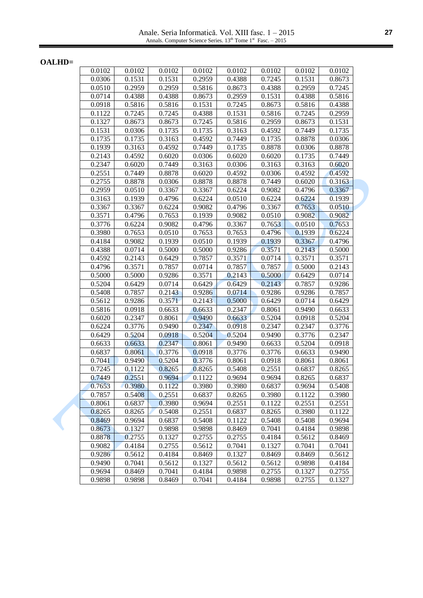Anale. Seria Informatică. Vol. XIII fasc. 1 – 2015 Annals. Computer Science Series.  $13<sup>th</sup>$  Tome  $1<sup>st</sup>$  Fasc.  $-2015$ 

**OALHD=**

| 0.0102 | 0.0102 | 0.0102              | 0.0102 | 0.0102 | 0.0102 | 0.0102 | 0.0102 |
|--------|--------|---------------------|--------|--------|--------|--------|--------|
| 0.0306 | 0.1531 | 0.1531              | 0.2959 | 0.4388 | 0.7245 | 0.1531 | 0.8673 |
| 0.0510 | 0.2959 | 0.2959              | 0.5816 | 0.8673 | 0.4388 | 0.2959 | 0.7245 |
| 0.0714 | 0.4388 | 0.4388              | 0.8673 | 0.2959 | 0.1531 | 0.4388 | 0.5816 |
| 0.0918 | 0.5816 | 0.5816              | 0.1531 | 0.7245 | 0.8673 | 0.5816 | 0.4388 |
| 0.1122 | 0.7245 | 0.7245              | 0.4388 | 0.1531 | 0.5816 | 0.7245 | 0.2959 |
| 0.1327 | 0.8673 | 0.8673              | 0.7245 | 0.5816 | 0.2959 | 0.8673 | 0.1531 |
| 0.1531 | 0.0306 | 0.1735              | 0.1735 | 0.3163 | 0.4592 | 0.7449 | 0.1735 |
| 0.1735 | 0.1735 | 0.3163              | 0.4592 | 0.7449 | 0.1735 | 0.8878 | 0.0306 |
| 0.1939 | 0.3163 | 0.4592              | 0.7449 | 0.1735 | 0.8878 | 0.0306 | 0.8878 |
| 0.2143 | 0.4592 | 0.6020              | 0.0306 | 0.6020 | 0.6020 | 0.1735 | 0.7449 |
| 0.2347 | 0.6020 | 0.7449              | 0.3163 | 0.0306 | 0.3163 | 0.3163 | 0.6020 |
| 0.2551 | 0.7449 | 0.8878              | 0.6020 | 0.4592 | 0.0306 | 0.4592 | 0.4592 |
| 0.2755 | 0.8878 | 0.0306              | 0.8878 | 0.8878 | 0.7449 | 0.6020 | 0.3163 |
| 0.2959 | 0.0510 | 0.3367              | 0.3367 | 0.6224 | 0.9082 | 0.4796 | 0.3367 |
| 0.3163 | 0.1939 | 0.4796              | 0.6224 | 0.0510 | 0.6224 | 0.6224 | 0.1939 |
| 0.3367 | 0.3367 | 0.6224              | 0.9082 | 0.4796 | 0.3367 | 0.7653 | 0.0510 |
| 0.3571 | 0.4796 | 0.7653              | 0.1939 | 0.9082 | 0.0510 | 0.9082 | 0.9082 |
| 0.3776 | 0.6224 | 0.9082              | 0.4796 | 0.3367 | 0.7653 | 0.0510 | 0.7653 |
| 0.3980 | 0.7653 | 0.0510              | 0.7653 | 0.7653 | 0.4796 | 0.1939 | 0.6224 |
| 0.4184 | 0.9082 | 0.1939              | 0.0510 | 0.1939 | 0.1939 | 0.3367 | 0.4796 |
| 0.4388 | 0.0714 | 0.5000              | 0.5000 | 0.9286 | 0.3571 | 0.2143 | 0.5000 |
| 0.4592 | 0.2143 | 0.6429              | 0.7857 | 0.3571 | 0.0714 | 0.3571 | 0.3571 |
| 0.4796 | 0.3571 | 0.7857              | 0.0714 | 0.7857 | 0.7857 | 0.5000 | 0.2143 |
| 0.5000 | 0.5000 | 0.9286              | 0.3571 | 0.2143 | 0.5000 | 0.6429 | 0.0714 |
| 0.5204 | 0.6429 | $\overline{0.0714}$ | 0.6429 | 0.6429 | 0.2143 | 0.7857 | 0.9286 |
| 0.5408 | 0.7857 | 0.2143              | 0.9286 | 0.0714 | 0.9286 | 0.9286 | 0.7857 |
| 0.5612 | 0.9286 | 0.3571              | 0.2143 | 0.5000 | 0.6429 | 0.0714 | 0.6429 |
| 0.5816 | 0.0918 | 0.6633              | 0.6633 | 0.2347 | 0.8061 | 0.9490 | 0.6633 |
| 0.6020 | 0.2347 | 0.8061              | 0.9490 | 0.6633 | 0.5204 | 0.0918 | 0.5204 |
| 0.6224 | 0.3776 | 0.9490              | 0.2347 | 0.0918 | 0.2347 | 0.2347 | 0.3776 |
| 0.6429 | 0.5204 | 0.0918              | 0.5204 | 0.5204 | 0.9490 | 0.3776 | 0.2347 |
| 0.6633 | 0.6633 | 0.2347              | 0.8061 | 0.9490 | 0.6633 | 0.5204 | 0.0918 |
| 0.6837 | 0.8061 | 0.3776              | 0.0918 | 0.3776 | 0.3776 | 0.6633 | 0.9490 |
| 0.7041 | 0.9490 | 0.5204              | 0.3776 | 0.8061 | 0.0918 | 0.8061 | 0.8061 |
| 0.7245 | 0.1122 | 0.8265              | 0.8265 | 0.5408 | 0.2551 | 0.6837 | 0.8265 |
| 0.7449 | 0.2551 | 0.9694              | 0.1122 | 0.9694 | 0.9694 | 0.8265 | 0.6837 |
| 0.7653 | 0.3980 | 0.1122              | 0.3980 | 0.3980 | 0.6837 | 0.9694 | 0.5408 |
| 0.7857 | 0.5408 | 0.2551              | 0.6837 | 0.8265 | 0.3980 | 0.1122 | 0.3980 |
| 0.8061 | 0.6837 | 0.3980              | 0.9694 | 0.2551 | 0.1122 | 0.2551 | 0.2551 |
| 0.8265 | 0.8265 | 0.5408              | 0.2551 | 0.6837 | 0.8265 | 0.3980 | 0.1122 |
| 0.8469 | 0.9694 | 0.6837              | 0.5408 | 0.1122 | 0.5408 | 0.5408 | 0.9694 |
| 0.8673 | 0.1327 | 0.9898              | 0.9898 | 0.8469 | 0.7041 | 0.4184 | 0.9898 |
| 0.8878 | 0.2755 | 0.1327              | 0.2755 | 0.2755 | 0.4184 | 0.5612 | 0.8469 |
| 0.9082 | 0.4184 | 0.2755              | 0.5612 | 0.7041 | 0.1327 | 0.7041 | 0.7041 |
| 0.9286 | 0.5612 | 0.4184              | 0.8469 | 0.1327 | 0.8469 | 0.8469 | 0.5612 |
| 0.9490 | 0.7041 | 0.5612              | 0.1327 | 0.5612 | 0.5612 | 0.9898 | 0.4184 |
| 0.9694 | 0.8469 | 0.7041              | 0.4184 | 0.9898 | 0.2755 | 0.1327 | 0.2755 |
| 0.9898 | 0.9898 | 0.8469              | 0.7041 | 0.4184 | 0.9898 | 0.2755 | 0.1327 |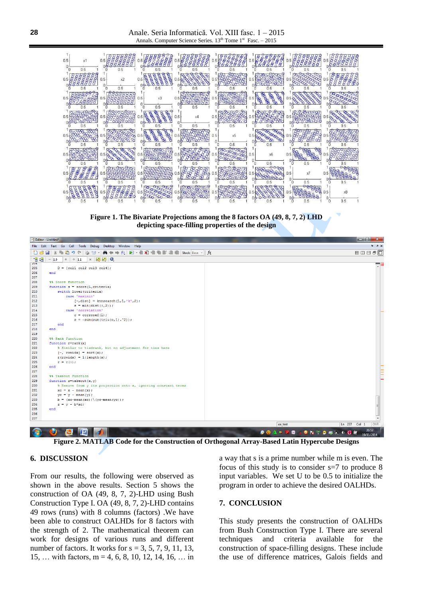

**Figure 1. The Bivariate Projections among the 8 factors OA (49, 8, 7, 2) LHD depicting space-filling properties of the design**



**Figure 2. MATLAB Code for the Construction of Orthogonal Array-Based Latin Hypercube Designs**

#### **6. DISCUSSION**

From our results, the following were observed as shown in the above results. Section 5 shows the construction of OA (49, 8, 7, 2)-LHD using Bush Construction Type I. OA (49, 8, 7, 2)-LHD contains 49 rows (runs) with 8 columns (factors) .We have been able to construct OALHDs for 8 factors with the strength of 2. The mathematical theorem can work for designs of various runs and different number of factors. It works for  $s = 3, 5, 7, 9, 11, 13$ , 15, … with factors, m = 4, 6, 8, 10, 12, 14, 16, … in a way that s is a prime number while m is even. The focus of this study is to consider s=7 to produce 8 input variables. We set U to be 0.5 to initialize the program in order to achieve the desired OALHDs.

# **7. CONCLUSION**

This study presents the construction of OALHDs from Bush Construction Type I. There are several techniques and criteria available for the construction of space-filling designs. These include the use of difference matrices, Galois fields and